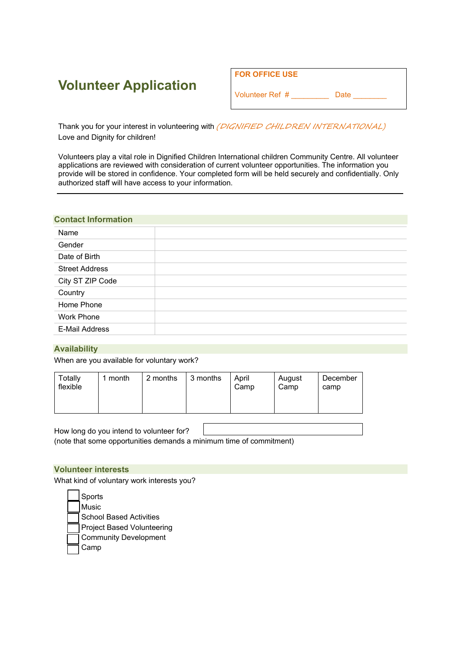# **Volunteer Application**

| <b>FOR OFFICE USE</b> |      |  |
|-----------------------|------|--|
| Volunteer Ref #       | Date |  |

Thank you for your interest in volunteering with (DIGNIFIED CHILDREN INTERNATIONAL) Love and Dignity for children!

Volunteers play a vital role in Dignified Children International children Community Centre. All volunteer applications are reviewed with consideration of current volunteer opportunities. The information you provide will be stored in confidence. Your completed form will be held securely and confidentially. Only authorized staff will have access to your information.

## **Contact Information**

| Name                  |  |
|-----------------------|--|
| Gender                |  |
| Date of Birth         |  |
| <b>Street Address</b> |  |
| City ST ZIP Code      |  |
| Country               |  |
| Home Phone            |  |
| <b>Work Phone</b>     |  |
| <b>E-Mail Address</b> |  |

## **Availability**

When are you available for voluntary work?

| Totally<br>1 month<br>flexible | 2 months | 3 months | April<br>Camp | August<br>Camp | December<br>camp |
|--------------------------------|----------|----------|---------------|----------------|------------------|
|--------------------------------|----------|----------|---------------|----------------|------------------|

How long do you intend to volunteer for? (note that some opportunities demands a minimum time of commitment)

## **Volunteer interests**

What kind of voluntary work interests you?

**Sports**  Music School Based Activities Project Based Volunteering Community Development Camp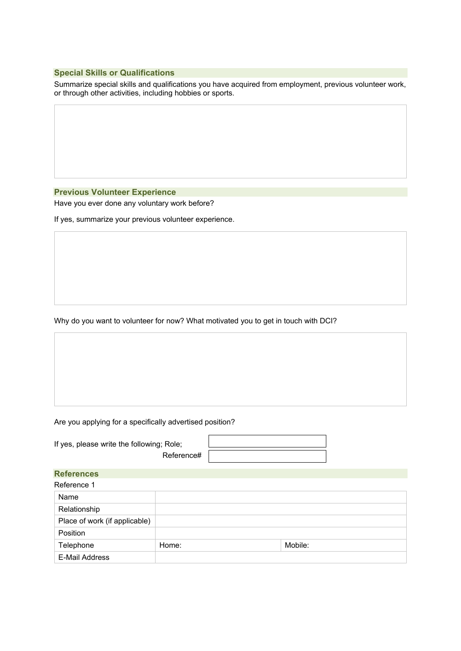## **Special Skills or Qualifications**

Summarize special skills and qualifications you have acquired from employment, previous volunteer work, or through other activities, including hobbies or sports.

#### **Previous Volunteer Experience**

Have you ever done any voluntary work before?

If yes, summarize your previous volunteer experience.

Why do you want to volunteer for now? What motivated you to get in touch with DCI?

## Are you applying for a specifically advertised position?

| If yes, please write the following; Role; |           |  |
|-------------------------------------------|-----------|--|
|                                           | Reference |  |

| <b>References</b>             |       |         |  |
|-------------------------------|-------|---------|--|
| Reference 1                   |       |         |  |
| Name                          |       |         |  |
| Relationship                  |       |         |  |
| Place of work (if applicable) |       |         |  |
| Position                      |       |         |  |
| Telephone                     | Home: | Mobile: |  |
| E-Mail Address                |       |         |  |